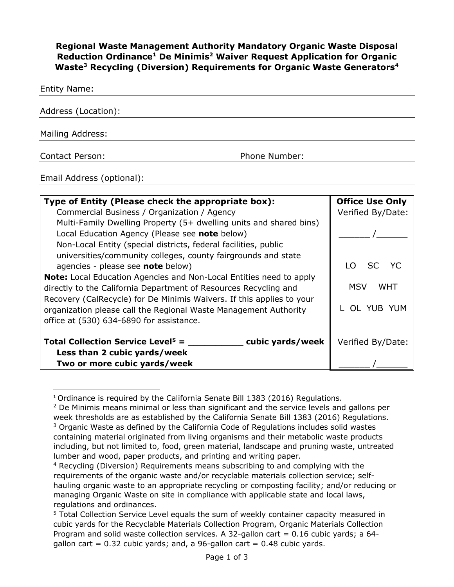**Regional Waste Management Authority Mandatory Organic Waste Disposal Reduction Ordinance1 De Minimis2 Waiver Request Application for Organic Waste3 Recycling (Diversion) Requirements for Organic Waste Generators4**

Entity Name:

| Address (Location): |               |  |
|---------------------|---------------|--|
| Mailing Address:    |               |  |
| Contact Person:     | Phone Number: |  |

Email Address (optional):

| Type of Entity (Please check the appropriate box):                         | <b>Office Use Only</b> |
|----------------------------------------------------------------------------|------------------------|
| Commercial Business / Organization / Agency                                | Verified By/Date:      |
| Multi-Family Dwelling Property (5+ dwelling units and shared bins)         |                        |
| Local Education Agency (Please see note below)                             |                        |
| Non-Local Entity (special districts, federal facilities, public            |                        |
| universities/community colleges, county fairgrounds and state              |                        |
| agencies - please see note below)                                          | SC YC<br>I O           |
| <b>Note:</b> Local Education Agencies and Non-Local Entities need to apply |                        |
| directly to the California Department of Resources Recycling and           | MSV<br>WHT             |
| Recovery (CalRecycle) for De Minimis Waivers. If this applies to your      |                        |
| organization please call the Regional Waste Management Authority           | L OL YUB YUM           |
| office at (530) 634-6890 for assistance.                                   |                        |
| Total Collection Service Level <sup>5</sup> =<br>cubic yards/week          | Verified By/Date:      |
| Less than 2 cubic yards/week                                               |                        |
| Two or more cubic yards/week                                               |                        |

<sup>&</sup>lt;sup>1</sup> Ordinance is required by the California Senate Bill  $1383$  (2016) Requlations.

<sup>&</sup>lt;sup>2</sup> De Minimis means minimal or less than significant and the service levels and gallons per week thresholds are as established by the California Senate Bill 1383 (2016) Regulations.  $3$  Organic Waste as defined by the California Code of Regulations includes solid wastes containing material originated from living organisms and their metabolic waste products including, but not limited to, food, green material, landscape and pruning waste, untreated lumber and wood, paper products, and printing and writing paper.

<sup>4</sup> Recycling (Diversion) Requirements means subscribing to and complying with the requirements of the organic waste and/or recyclable materials collection service; selfhauling organic waste to an appropriate recycling or composting facility; and/or reducing or managing Organic Waste on site in compliance with applicable state and local laws, regulations and ordinances.

<sup>&</sup>lt;sup>5</sup> Total Collection Service Level equals the sum of weekly container capacity measured in cubic yards for the Recyclable Materials Collection Program, Organic Materials Collection Program and solid waste collection services. A 32-gallon cart =  $0.16$  cubic yards; a 64gallon cart =  $0.32$  cubic yards; and, a 96-gallon cart =  $0.48$  cubic yards.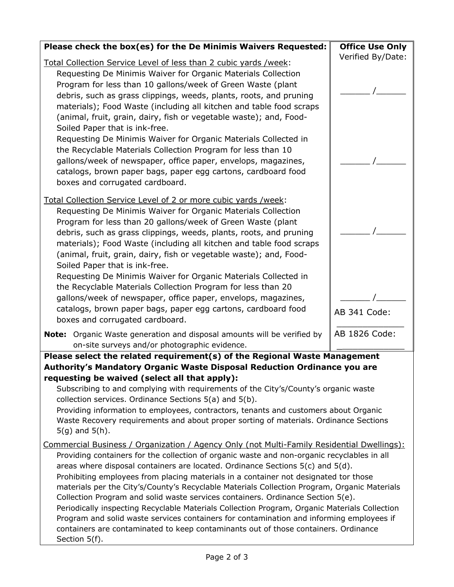| Please check the box(es) for the De Minimis Waivers Requested:                                                                                                                                                                                                                                                                                                                                                                                                                                                                                                                                                                                                                                                                                                                                                                                                          | <b>Office Use Only</b> |  |
|-------------------------------------------------------------------------------------------------------------------------------------------------------------------------------------------------------------------------------------------------------------------------------------------------------------------------------------------------------------------------------------------------------------------------------------------------------------------------------------------------------------------------------------------------------------------------------------------------------------------------------------------------------------------------------------------------------------------------------------------------------------------------------------------------------------------------------------------------------------------------|------------------------|--|
| Total Collection Service Level of less than 2 cubic yards /week:                                                                                                                                                                                                                                                                                                                                                                                                                                                                                                                                                                                                                                                                                                                                                                                                        | Verified By/Date:      |  |
| Requesting De Minimis Waiver for Organic Materials Collection<br>Program for less than 10 gallons/week of Green Waste (plant<br>debris, such as grass clippings, weeds, plants, roots, and pruning<br>materials); Food Waste (including all kitchen and table food scraps<br>(animal, fruit, grain, dairy, fish or vegetable waste); and, Food-<br>Soiled Paper that is ink-free.                                                                                                                                                                                                                                                                                                                                                                                                                                                                                       |                        |  |
| Requesting De Minimis Waiver for Organic Materials Collected in<br>the Recyclable Materials Collection Program for less than 10<br>gallons/week of newspaper, office paper, envelops, magazines,<br>catalogs, brown paper bags, paper egg cartons, cardboard food<br>boxes and corrugated cardboard.                                                                                                                                                                                                                                                                                                                                                                                                                                                                                                                                                                    |                        |  |
| Total Collection Service Level of 2 or more cubic yards /week:<br>Requesting De Minimis Waiver for Organic Materials Collection<br>Program for less than 20 gallons/week of Green Waste (plant<br>debris, such as grass clippings, weeds, plants, roots, and pruning<br>materials); Food Waste (including all kitchen and table food scraps<br>(animal, fruit, grain, dairy, fish or vegetable waste); and, Food-<br>Soiled Paper that is ink-free.                                                                                                                                                                                                                                                                                                                                                                                                                     |                        |  |
| Requesting De Minimis Waiver for Organic Materials Collected in<br>the Recyclable Materials Collection Program for less than 20<br>gallons/week of newspaper, office paper, envelops, magazines,<br>catalogs, brown paper bags, paper egg cartons, cardboard food<br>boxes and corrugated cardboard.                                                                                                                                                                                                                                                                                                                                                                                                                                                                                                                                                                    | AB 341 Code:           |  |
| Note: Organic Waste generation and disposal amounts will be verified by<br>on-site surveys and/or photographic evidence.                                                                                                                                                                                                                                                                                                                                                                                                                                                                                                                                                                                                                                                                                                                                                | AB 1826 Code:          |  |
| Please select the related requirement(s) of the Regional Waste Management                                                                                                                                                                                                                                                                                                                                                                                                                                                                                                                                                                                                                                                                                                                                                                                               |                        |  |
| Authority's Mandatory Organic Waste Disposal Reduction Ordinance you are<br>requesting be waived (select all that apply):<br>Subscribing to and complying with requirements of the City's/County's organic waste<br>collection services. Ordinance Sections 5(a) and 5(b).<br>Providing information to employees, contractors, tenants and customers about Organic<br>Waste Recovery requirements and about proper sorting of materials. Ordinance Sections<br>$5(g)$ and $5(h)$ .                                                                                                                                                                                                                                                                                                                                                                                      |                        |  |
| <u>Commercial Business / Organization / Agency Only (not Multi-Family Residential Dwellings):</u><br>Providing containers for the collection of organic waste and non-organic recyclables in all<br>areas where disposal containers are located. Ordinance Sections $5(c)$ and $5(d)$ .<br>Prohibiting employees from placing materials in a container not designated tor those<br>materials per the City's/County's Recyclable Materials Collection Program, Organic Materials<br>Collection Program and solid waste services containers. Ordinance Section 5(e).<br>Periodically inspecting Recyclable Materials Collection Program, Organic Materials Collection<br>Program and solid waste services containers for contamination and informing employees if<br>containers are contaminated to keep contaminants out of those containers. Ordinance<br>Section 5(f). |                        |  |